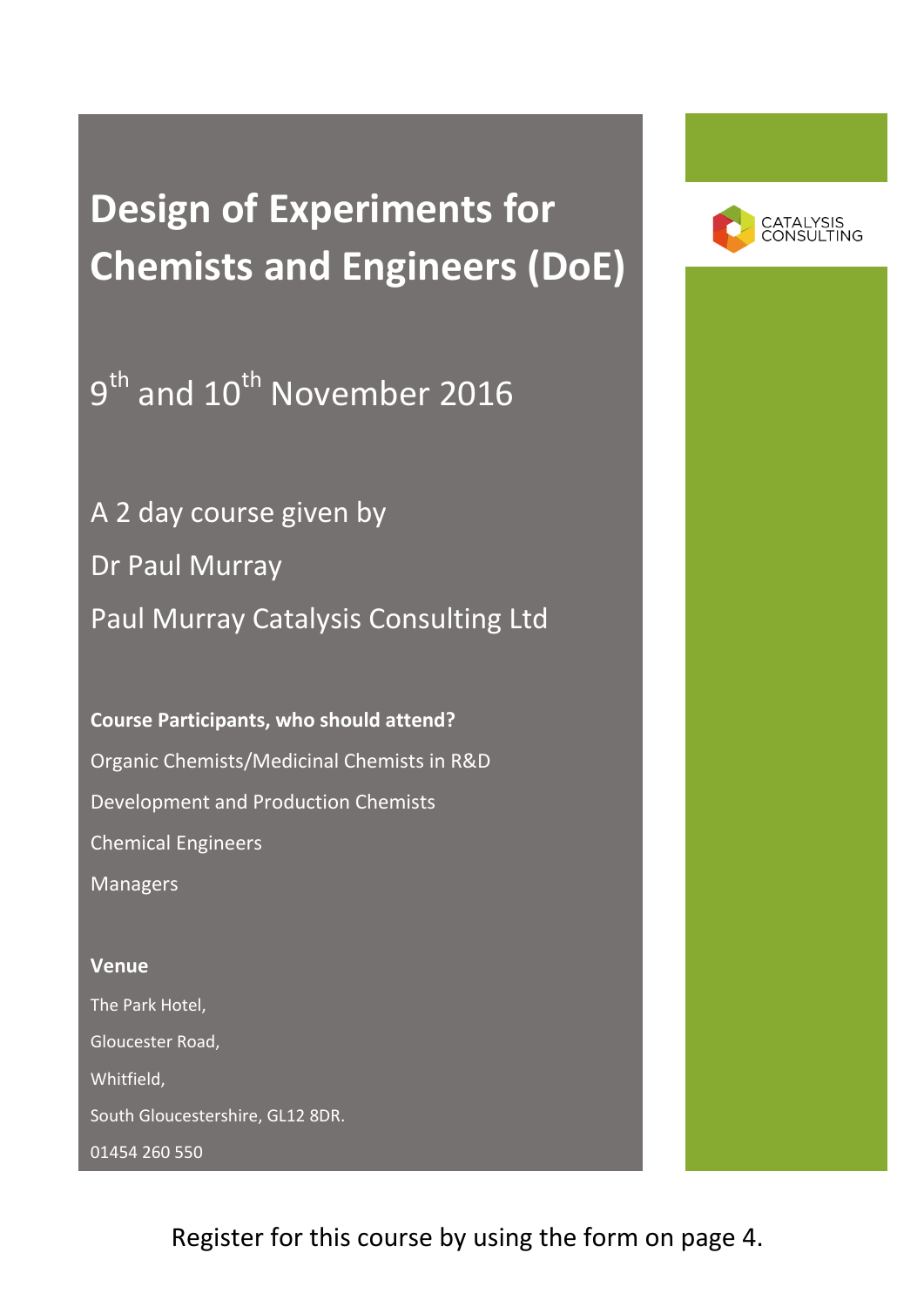# **Design of Experiments for Chemists and Engineers (DoE)**

 $9^{\text{th}}$  and  $10^{\text{th}}$  November 2016

A 2 day course given by Dr Paul Murray Paul Murray Catalysis Consulting Ltd

**Course Participants, who should attend?** Organic Chemists/Medicinal Chemists in R&D Development and Production Chemists Chemical Engineers Managers

## **Venue** The Park Hotel, Gloucester Road, Whitfield, South Gloucestershire, GL12 8DR. 01454 260 550



Register for this course by using the form on page 4.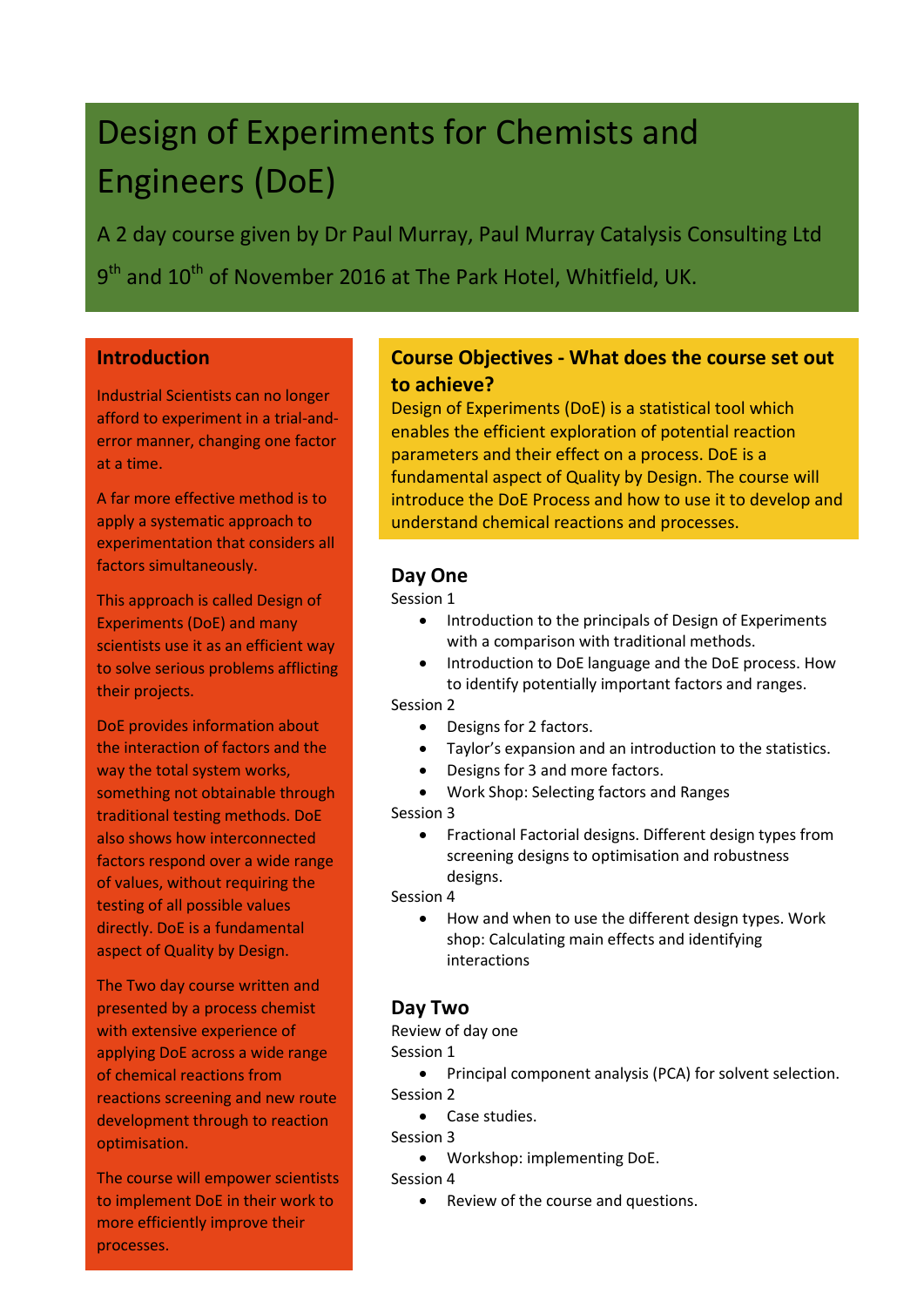## Design of Experiments for Chemists and Engineers (DoE)

A 2 day course given by Dr Paul Murray, Paul Murray Catalysis Consulting Ltd  $9^{\text{th}}$  and  $10^{\text{th}}$  of November 2016 at The Park Hotel, Whitfield, UK.

### **Introduction**

Industrial Scientists can no longer afford to experiment in a trial-anderror manner, changing one factor at a time.

A far more effective method is to apply a systematic approach to experimentation that considers all factors simultaneously.

This approach is called Design of Experiments (DoE) and many scientists use it as an efficient way to solve serious problems afflicting their projects.

DoE provides information about the interaction of factors and the way the total system works, something not obtainable through traditional testing methods. DoE also shows how interconnected factors respond over a wide range of values, without requiring the testing of all possible values directly. DoE is a fundamental aspect of Quality by Design.

The Two day course written and presented by a process chemist with extensive experience of applying DoE across a wide range of chemical reactions from reactions screening and new route development through to reaction optimisation.

The course will empower scientists to implement DoE in their work to more efficiently improve their processes.

### **Course Objectives - What does the course set out to achieve?**

Design of Experiments (DoE) is a statistical tool which enables the efficient exploration of potential reaction parameters and their effect on a process. DoE is a fundamental aspect of Quality by Design. The course will introduce the DoE Process and how to use it to develop and understand chemical reactions and processes.

### **Day One**

Session 1

- Introduction to the principals of Design of Experiments with a comparison with traditional methods.
- Introduction to DoE language and the DoE process. How to identify potentially important factors and ranges.

Session 2

- Designs for 2 factors.
- Taylor's expansion and an introduction to the statistics.
- Designs for 3 and more factors.
- Work Shop: Selecting factors and Ranges

Session 3

 Fractional Factorial designs. Different design types from screening designs to optimisation and robustness designs.

### Session 4

 How and when to use the different design types. Work shop: Calculating main effects and identifying interactions

### **Day Two**

Review of day one

### Session 1

 Principal component analysis (PCA) for solvent selection. Session 2

- Case studies.
- Session 3
	- Workshop: implementing DoE.

Session 4

• Review of the course and questions.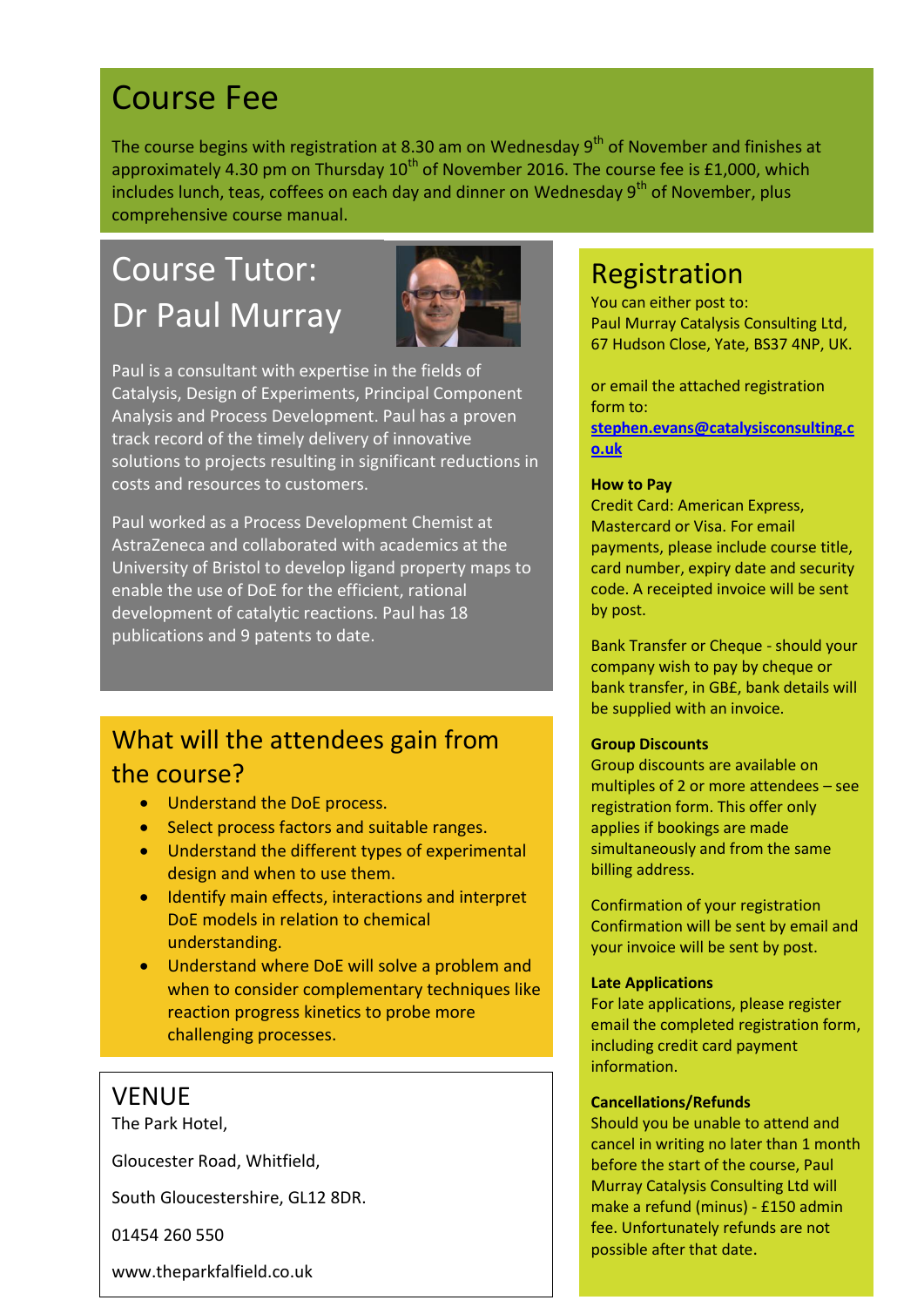## Course Fee

The course begins with registration at 8.30 am on Wednesday  $9^{th}$  of November and finishes at approximately 4.30 pm on Thursday  $10^{th}$  of November 2016. The course fee is £1,000, which includes lunch, teas, coffees on each day and dinner on Wednesday  $9<sup>th</sup>$  of November, plus comprehensive course manual.

## Course Tutor: Dr Paul Murray



Paul is a consultant with expertise in the fields of Catalysis, Design of Experiments, Principal Component Analysis and Process Development. Paul has a proven track record of the timely delivery of innovative solutions to projects resulting in significant reductions in costs and resources to customers.

Paul worked as a Process Development Chemist at AstraZeneca and collaborated with academics at the University of Bristol to develop ligand property maps to enable the use of DoE for the efficient, rational development of catalytic reactions. Paul has 18 publications and 9 patents to date.

### What will the attendees gain from the course?

- **.** Understand the DoE process.
- Select process factors and suitable ranges.
- Understand the different types of experimental design and when to use them.
- Identify main effects, interactions and interpret DoE models in relation to chemical understanding.
- Understand where DoE will solve a problem and when to consider complementary techniques like reaction progress kinetics to probe more challenging processes.

### VENUE

The Park Hotel,

Gloucester Road, Whitfield,

South Gloucestershire, GL12 8DR.

01454 260 550

www.theparkfalfield.co.uk

### Registration

You can either post to: Paul Murray Catalysis Consulting Ltd, 67 Hudson Close, Yate, BS37 4NP, UK.

or email the attached registration form to:

**[stephen.evans@catalysisconsulting.c](mailto:stephen.evans@catalysisconsulting.co.uk) [o.uk](mailto:stephen.evans@catalysisconsulting.co.uk)**

### **How to Pay**

Credit Card: American Express, Mastercard or Visa. For email payments, please include course title, card number, expiry date and security code. A receipted invoice will be sent by post.

Bank Transfer or Cheque - should your company wish to pay by cheque or bank transfer, in GB£, bank details will be supplied with an invoice.

### **Group Discounts**

Group discounts are available on multiples of 2 or more attendees – see registration form. This offer only applies if bookings are made simultaneously and from the same billing address.

Confirmation of your registration Confirmation will be sent by email and your invoice will be sent by post.

### **Late Applications**

For late applications, please register email the completed registration form, including credit card payment information.

### **Cancellations/Refunds**

Should you be unable to attend and cancel in writing no later than 1 month before the start of the course, Paul Murray Catalysis Consulting Ltd will make a refund (minus) - £150 admin fee. Unfortunately refunds are not possible after that date.